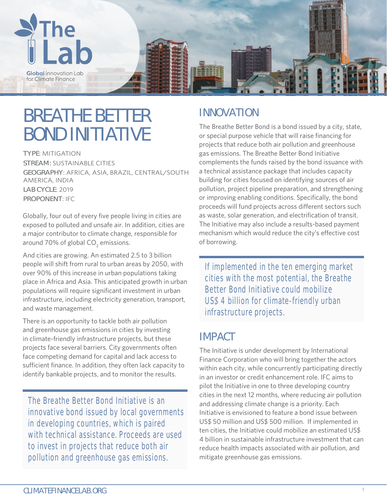

# **BREATHE BETTER BOND INITIATIVE**

**TYPE**: MITIGATION **STREAM:** SUSTAINABLE CITIES **GEOGRAPHY**: AFRICA, ASIA, BRAZIL, CENTRAL/SOUTH AMERICA, INDIA **LAB CYCLE**: 2019 **PROPONENT**: IFC

Globally, four out of every five people living in cities are exposed to polluted and unsafe air. In addition, cities are a major contributor to climate change, responsible for around 70% of global CO<sub>2</sub> emissions.

And cities are growing. An estimated 2.5 to 3 billion people will shift from rural to urban areas by 2050, with over 90% of this increase in urban populations taking place in Africa and Asia. This anticipated growth in urban populations will require significant investment in urban infrastructure, including electricity generation, transport, and waste management.

There is an opportunity to tackle both air pollution and greenhouse gas emissions in cities by investing in climate-friendly infrastructure projects, but these projects face several barriers. City governments often face competing demand for capital and lack access to sufficient finance. In addition, they often lack capacity to identify bankable projects, and to monitor the results.

The Breathe Better Bond Initiative is an innovative bond issued by local governments in developing countries, which is paired with technical assistance. Proceeds are used to invest in projects that reduce both air pollution and greenhouse gas emissions.

## **INNOVATION**

The Breathe Better Bond is a bond issued by a city, state, or special purpose vehicle that will raise financing for projects that reduce both air pollution and greenhouse gas emissions. The Breathe Better Bond Initiative complements the funds raised by the bond issuance with a technical assistance package that includes capacity building for cities focused on identifying sources of air pollution, project pipeline preparation, and strengthening or improving enabling conditions. Specifically, the bond proceeds will fund projects across different sectors such as waste, solar generation, and electrification of transit. The Initiative may also include a results-based payment mechanism which would reduce the city's effective cost of borrowing.

If implemented in the ten emerging market cities with the most potential, the Breathe Better Bond Initiative could mobilize US\$ 4 billion for climate-friendly urban infrastructure projects.

## **IMPACT**

The Initiative is under development by International Finance Corporation who will bring together the actors within each city, while concurrently participating directly in an investor or credit enhancement role. IFC aims to pilot the Initiative in one to three developing country cities in the next 12 months, where reducing air pollution and addressing climate change is a priority. Each Initiative is envisioned to feature a bond issue between US\$ 50 million and US\$ 500 million. If implemented in ten cities, the Initiative could mobilize an estimated US\$ 4 billion in sustainable infrastructure investment that can reduce health impacts associated with air pollution, and mitigate greenhouse gas emissions.